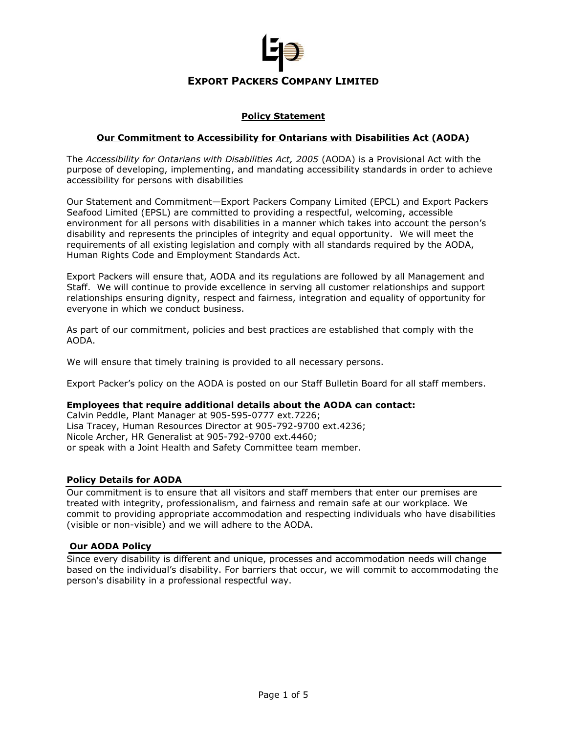

# **Policy Statement**

## **Our Commitment to Accessibility for Ontarians with Disabilities Act (AODA)**

The *Accessibility for Ontarians with Disabilities Act, 2005* (AODA) is a Provisional Act with the purpose of developing, implementing, and mandating accessibility standards in order to achieve accessibility for persons with disabilities

Our Statement and Commitment—Export Packers Company Limited (EPCL) and Export Packers Seafood Limited (EPSL) are committed to providing a respectful, welcoming, accessible environment for all persons with disabilities in a manner which takes into account the person's disability and represents the principles of integrity and equal opportunity. We will meet the requirements of all existing legislation and comply with all standards required by the AODA, Human Rights Code and Employment Standards Act.

Export Packers will ensure that, AODA and its regulations are followed by all Management and Staff. We will continue to provide excellence in serving all customer relationships and support relationships ensuring dignity, respect and fairness, integration and equality of opportunity for everyone in which we conduct business.

As part of our commitment, policies and best practices are established that comply with the AODA.

We will ensure that timely training is provided to all necessary persons.

Export Packer's policy on the AODA is posted on our Staff Bulletin Board for all staff members.

#### **Employees that require additional details about the AODA can contact:**

Calvin Peddle, Plant Manager at 905-595-0777 ext.7226; Lisa Tracey, Human Resources Director at 905-792-9700 ext.4236; Nicole Archer, HR Generalist at 905-792-9700 ext.4460; or speak with a Joint Health and Safety Committee team member.

#### **Policy Details for AODA**

Our commitment is to ensure that all visitors and staff members that enter our premises are treated with integrity, professionalism, and fairness and remain safe at our workplace. We commit to providing appropriate accommodation and respecting individuals who have disabilities (visible or non-visible) and we will adhere to the AODA.

#### **Our AODA Policy**

Since every disability is different and unique, processes and accommodation needs will change based on the individual's disability. For barriers that occur, we will commit to accommodating the person's disability in a professional respectful way.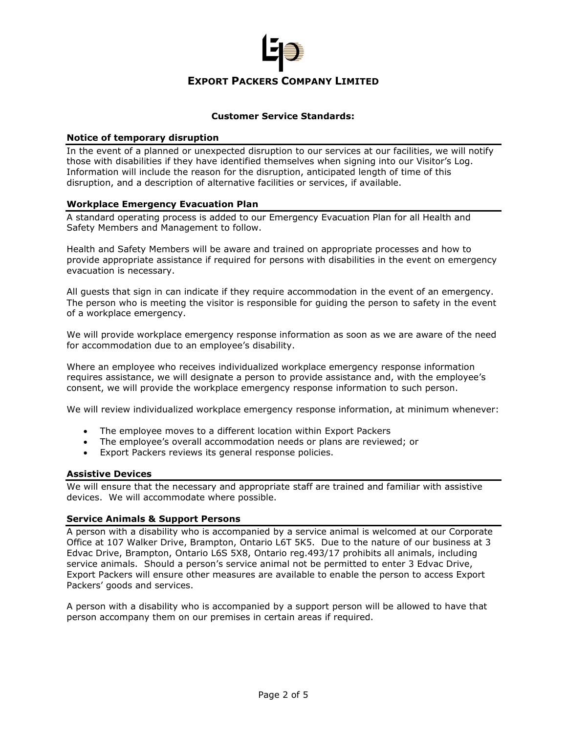

## **Customer Service Standards:**

### **Notice of temporary disruption**

In the event of a planned or unexpected disruption to our services at our facilities, we will notify those with disabilities if they have identified themselves when signing into our Visitor's Log. Information will include the reason for the disruption, anticipated length of time of this disruption, and a description of alternative facilities or services, if available.

### **Workplace Emergency Evacuation Plan**

A standard operating process is added to our Emergency Evacuation Plan for all Health and Safety Members and Management to follow.

Health and Safety Members will be aware and trained on appropriate processes and how to provide appropriate assistance if required for persons with disabilities in the event on emergency evacuation is necessary.

All guests that sign in can indicate if they require accommodation in the event of an emergency. The person who is meeting the visitor is responsible for guiding the person to safety in the event of a workplace emergency.

We will provide workplace emergency response information as soon as we are aware of the need for accommodation due to an employee's disability.

Where an employee who receives individualized workplace emergency response information requires assistance, we will designate a person to provide assistance and, with the employee's consent, we will provide the workplace emergency response information to such person.

We will review individualized workplace emergency response information, at minimum whenever:

- The employee moves to a different location within Export Packers
- The employee's overall accommodation needs or plans are reviewed; or
- Export Packers reviews its general response policies.

### **Assistive Devices**

We will ensure that the necessary and appropriate staff are trained and familiar with assistive devices. We will accommodate where possible.

### **Service Animals & Support Persons**

A person with a disability who is accompanied by a service animal is welcomed at our Corporate Office at 107 Walker Drive, Brampton, Ontario L6T 5K5. Due to the nature of our business at 3 Edvac Drive, Brampton, Ontario L6S 5X8, Ontario reg.493/17 prohibits all animals, including service animals. Should a person's service animal not be permitted to enter 3 Edvac Drive, Export Packers will ensure other measures are available to enable the person to access Export Packers' goods and services.

A person with a disability who is accompanied by a support person will be allowed to have that person accompany them on our premises in certain areas if required.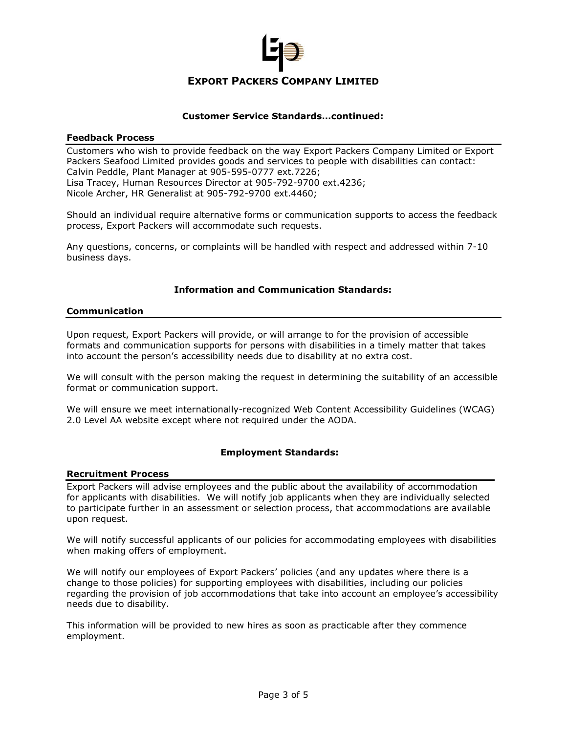

## **Customer Service Standards…continued:**

### **Feedback Process**

Customers who wish to provide feedback on the way Export Packers Company Limited or Export Packers Seafood Limited provides goods and services to people with disabilities can contact: Calvin Peddle, Plant Manager at 905-595-0777 ext.7226; Lisa Tracey, Human Resources Director at 905-792-9700 ext.4236; Nicole Archer, HR Generalist at 905-792-9700 ext.4460;

Should an individual require alternative forms or communication supports to access the feedback process, Export Packers will accommodate such requests.

Any questions, concerns, or complaints will be handled with respect and addressed within 7-10 business days.

# **Information and Communication Standards:**

## **Communication**

Upon request, Export Packers will provide, or will arrange to for the provision of accessible formats and communication supports for persons with disabilities in a timely matter that takes into account the person's accessibility needs due to disability at no extra cost.

We will consult with the person making the request in determining the suitability of an accessible format or communication support.

We will ensure we meet internationally-recognized Web Content Accessibility Guidelines (WCAG) 2.0 Level AA website except where not required under the AODA.

## **Employment Standards:**

### **Recruitment Process**

Export Packers will advise employees and the public about the availability of accommodation for applicants with disabilities. We will notify job applicants when they are individually selected to participate further in an assessment or selection process, that accommodations are available upon request.

We will notify successful applicants of our policies for accommodating employees with disabilities when making offers of employment.

We will notify our employees of Export Packers' policies (and any updates where there is a change to those policies) for supporting employees with disabilities, including our policies regarding the provision of job accommodations that take into account an employee's accessibility needs due to disability.

This information will be provided to new hires as soon as practicable after they commence employment.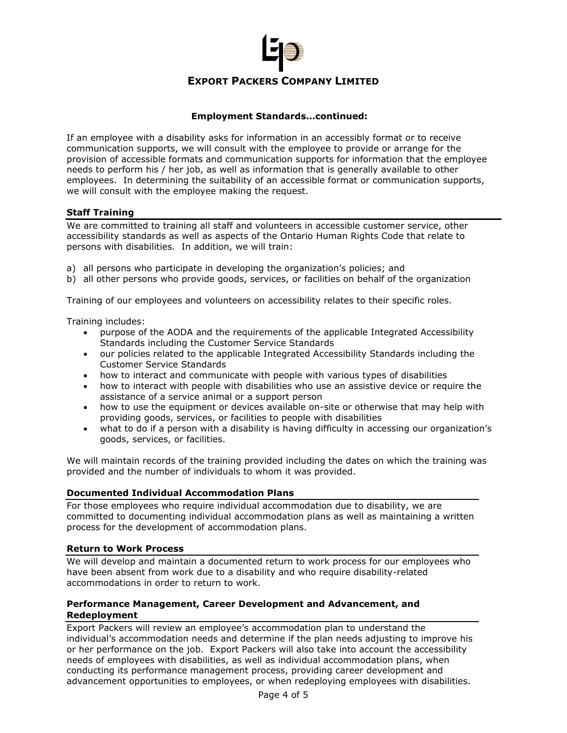

# **Employment Standards…continued:**

If an employee with a disability asks for information in an accessibly format or to receive communication supports, we will consult with the employee to provide or arrange for the provision of accessible formats and communication supports for information that the employee needs to perform his / her job, as well as information that is generally available to other employees. In determining the suitability of an accessible format or communication supports, we will consult with the employee making the request.

# **Staff Training**

We are committed to training all staff and volunteers in accessible customer service, other accessibility standards as well as aspects of the Ontario Human Rights Code that relate to persons with disabilities. In addition, we will train:

- a) all persons who participate in developing the organization's policies; and
- b) all other persons who provide goods, services, or facilities on behalf of the organization

Training of our employees and volunteers on accessibility relates to their specific roles.

Training includes:

- purpose of the AODA and the requirements of the applicable Integrated Accessibility Standards including the Customer Service Standards
- our policies related to the applicable Integrated Accessibility Standards including the Customer Service Standards
- how to interact and communicate with people with various types of disabilities
- how to interact with people with disabilities who use an assistive device or require the assistance of a service animal or a support person
- how to use the equipment or devices available on-site or otherwise that may help with providing goods, services, or facilities to people with disabilities
- what to do if a person with a disability is having difficulty in accessing our organization's goods, services, or facilities.

We will maintain records of the training provided including the dates on which the training was provided and the number of individuals to whom it was provided.

## **Documented Individual Accommodation Plans**

For those employees who require individual accommodation due to disability, we are committed to documenting individual accommodation plans as well as maintaining a written process for the development of accommodation plans.

## **Return to Work Process**

We will develop and maintain a documented return to work process for our employees who have been absent from work due to a disability and who require disability-related accommodations in order to return to work.

# **Performance Management, Career Development and Advancement, and Redeployment**

Export Packers will review an employee's accommodation plan to understand the individual's accommodation needs and determine if the plan needs adjusting to improve his or her performance on the job. Export Packers will also take into account the accessibility needs of employees with disabilities, as well as individual accommodation plans, when conducting its performance management process, providing career development and advancement opportunities to employees, or when redeploying employees with disabilities.